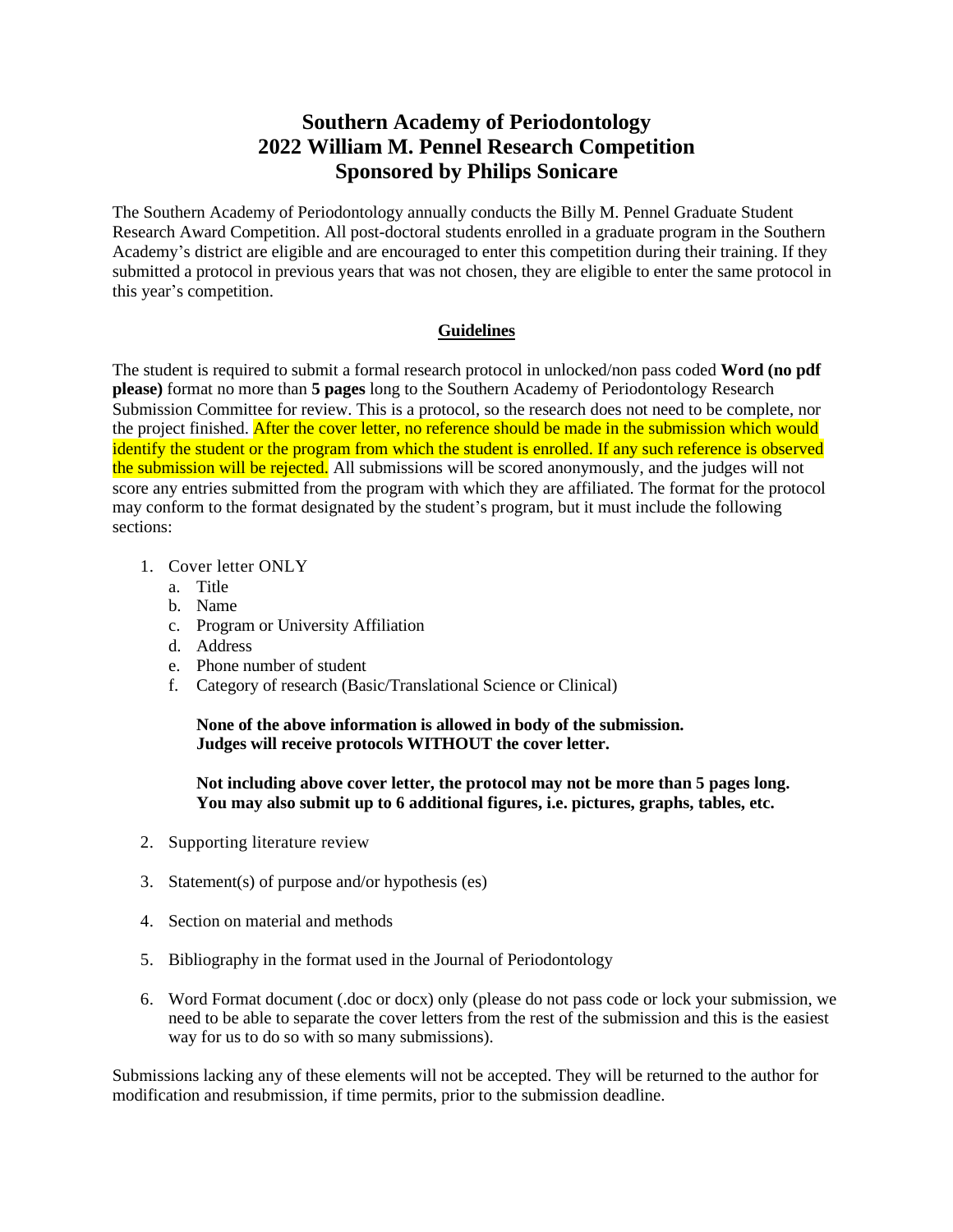## **Southern Academy of Periodontology 2022 William M. Pennel Research Competition Sponsored by Philips Sonicare**

The Southern Academy of Periodontology annually conducts the Billy M. Pennel Graduate Student Research Award Competition. All post-doctoral students enrolled in a graduate program in the Southern Academy's district are eligible and are encouraged to enter this competition during their training. If they submitted a protocol in previous years that was not chosen, they are eligible to enter the same protocol in this year's competition.

## **Guidelines**

The student is required to submit a formal research protocol in unlocked/non pass coded **Word (no pdf please)** format no more than **5 pages** long to the Southern Academy of Periodontology Research Submission Committee for review. This is a protocol, so the research does not need to be complete, nor the project finished. After the cover letter, no reference should be made in the submission which would identify the student or the program from which the student is enrolled. If any such reference is observed the submission will be rejected. All submissions will be scored anonymously, and the judges will not score any entries submitted from the program with which they are affiliated. The format for the protocol may conform to the format designated by the student's program, but it must include the following sections:

- 1. Cover letter ONLY
	- a. Title
	- b. Name
	- c. Program or University Affiliation
	- d. Address
	- e. Phone number of student
	- f. Category of research (Basic/Translational Science or Clinical)

**None of the above information is allowed in body of the submission. Judges will receive protocols WITHOUT the cover letter.**

**Not including above cover letter, the protocol may not be more than 5 pages long. You may also submit up to 6 additional figures, i.e. pictures, graphs, tables, etc.**

- 2. Supporting literature review
- 3. Statement(s) of purpose and/or hypothesis (es)
- 4. Section on material and methods
- 5. Bibliography in the format used in the Journal of Periodontology
- 6. Word Format document (.doc or docx) only (please do not pass code or lock your submission, we need to be able to separate the cover letters from the rest of the submission and this is the easiest way for us to do so with so many submissions).

Submissions lacking any of these elements will not be accepted. They will be returned to the author for modification and resubmission, if time permits, prior to the submission deadline.